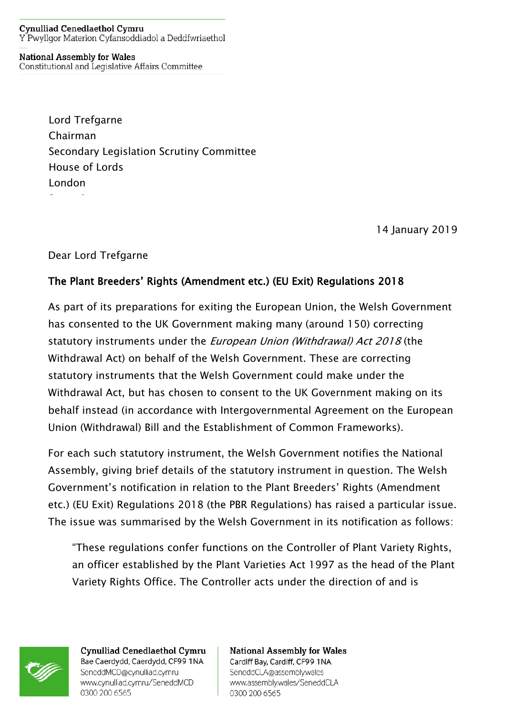## **Cynulliad Cenedlaethol Cymru** Y Pwyllgor Materion Cyfansoddiadol a Deddfwriaethol

**National Assembly for Wales** Constitutional and Legislative Affairs Committee

> Lord Trefgarne Chairman Secondary Legislation Scrutiny Committee House of Lords London

> > 14 January 2019

## Dear Lord Trefgarne

## The Plant Breeders' Rights (Amendment etc.) (EU Exit) Regulations 2018

As part of its preparations for exiting the European Union, the Welsh Government has consented to the UK Government making many (around 150) correcting statutory instruments under the European Union (Withdrawal) Act 2018 (the Withdrawal Act) on behalf of the Welsh Government. These are correcting statutory instruments that the Welsh Government could make under the Withdrawal Act, but has chosen to consent to the UK Government making on its behalf instead (in accordance with Intergovernmental Agreement on the European Union (Withdrawal) Bill and the Establishment of Common Frameworks).

For each such statutory instrument, the Welsh Government notifies the National Assembly, giving brief details of the statutory instrument in question. The Welsh Government's notification in relation to the Plant Breeders' Rights (Amendment etc.) (EU Exit) Regulations 2018 (the PBR Regulations) has raised a particular issue. The issue was summarised by the Welsh Government in its notification as follows:

"These regulations confer functions on the Controller of Plant Variety Rights, an officer established by the Plant Varieties Act 1997 as the head of the Plant Variety Rights Office. The Controller acts under the direction of and is



Cynulliad Cenedlaethol Cymru Bae Caerdydd, Caerdydd, CF99 1NA SeneddMCD@cynulliad.cymru www.cynulliad.cymru/SeneddMCD 0300 200 6565

**National Assembly for Wales** Cardiff Bay, Cardiff, CF99 1NA SeneddCLA@assembly.wales www.assembly.wales/SeneddCLA 0300 200 6565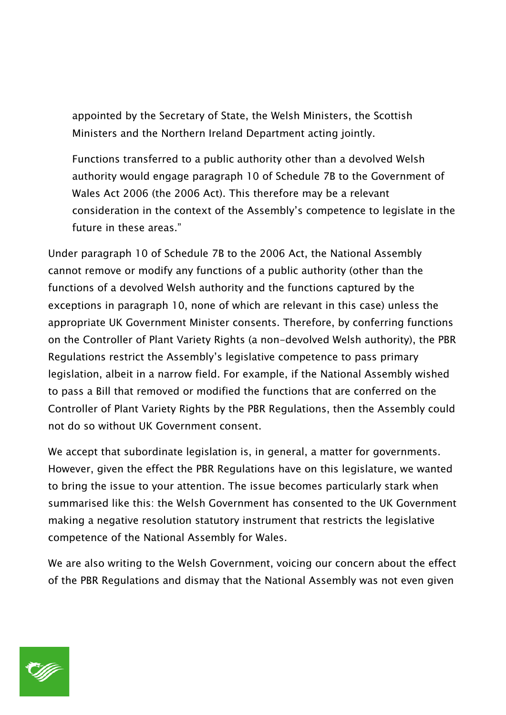appointed by the Secretary of State, the Welsh Ministers, the Scottish Ministers and the Northern Ireland Department acting jointly.

Functions transferred to a public authority other than a devolved Welsh authority would engage paragraph 10 of Schedule 7B to the Government of Wales Act 2006 (the 2006 Act). This therefore may be a relevant consideration in the context of the Assembly's competence to legislate in the future in these areas."

Under paragraph 10 of Schedule 7B to the 2006 Act, the National Assembly cannot remove or modify any functions of a public authority (other than the functions of a devolved Welsh authority and the functions captured by the exceptions in paragraph 10, none of which are relevant in this case) unless the appropriate UK Government Minister consents. Therefore, by conferring functions on the Controller of Plant Variety Rights (a non-devolved Welsh authority), the PBR Regulations restrict the Assembly's legislative competence to pass primary legislation, albeit in a narrow field. For example, if the National Assembly wished to pass a Bill that removed or modified the functions that are conferred on the Controller of Plant Variety Rights by the PBR Regulations, then the Assembly could not do so without UK Government consent.

We accept that subordinate legislation is, in general, a matter for governments. However, given the effect the PBR Regulations have on this legislature, we wanted to bring the issue to your attention. The issue becomes particularly stark when summarised like this: the Welsh Government has consented to the UK Government making a negative resolution statutory instrument that restricts the legislative competence of the National Assembly for Wales.

We are also writing to the Welsh Government, voicing our concern about the effect of the PBR Regulations and dismay that the National Assembly was not even given